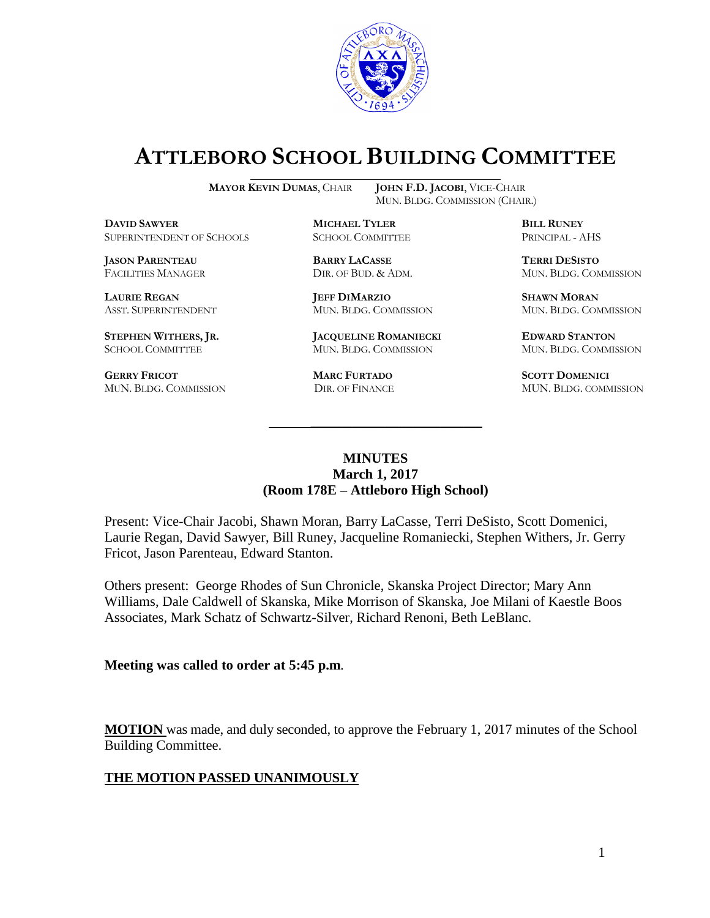

# **ATTLEBORO SCHOOL BUILDING COMMITTEE**

**DBICHAEL TYLER**<br>
SUPERINTENDENT OF SCHOOLS SCHOOL COMMITTEE **EXAMPLE PRINCIPAL - AHS** SUPERINTENDENT OF SCHOOLS

**JASON PARENTEAU BARRY LACASSE TERRI DESISTO**

**GERRY FRICOT MARC FURTADO SCOTT DOMENICI**  MUN. BLDG. COMMISSION DIR. OF FINANCE MUN. BLDG. COMMISSION

**MAYOR KEVIN DUMAS**, CHAIR **JOHN F.D. JACOBI**, VICE-CHAIR MUN. BLDG. COMMISSION (CHAIR.)

**LAURIE REGAN JEFF DIMARZIO SHAWN MORAN**

**STEPHEN WITHERS, JR. JACQUELINE ROMANIECKI EDWARD STANTON** SCHOOL COMMITTEE MUN. BLDG. COMMISSION MUN. BLDG. COMMISSION

FACILITIES MANAGER DIR. OF BUD. & ADM. MUN. BLDG. COMMISSION

ASST. SUPERINTENDENT MUN. BLDG. COMMISSION MUN. BLDG. COMMISSION

#### **MINUTES March 1, 2017 (Room 178E – Attleboro High School)**

\_\_\_\_\_\_\_\_\_\_\_\_\_\_\_\_\_\_\_\_\_\_\_\_\_\_\_\_\_\_\_\_\_\_\_\_\_

Present: Vice-Chair Jacobi, Shawn Moran, Barry LaCasse, Terri DeSisto, Scott Domenici, Laurie Regan, David Sawyer, Bill Runey, Jacqueline Romaniecki, Stephen Withers, Jr. Gerry Fricot, Jason Parenteau, Edward Stanton.

Others present: George Rhodes of Sun Chronicle, Skanska Project Director; Mary Ann Williams, Dale Caldwell of Skanska, Mike Morrison of Skanska, Joe Milani of Kaestle Boos Associates, Mark Schatz of Schwartz-Silver, Richard Renoni, Beth LeBlanc.

**Meeting was called to order at 5:45 p.m**.

**MOTION** was made, and duly seconded, to approve the February 1, 2017 minutes of the School Building Committee.

#### **THE MOTION PASSED UNANIMOUSLY**